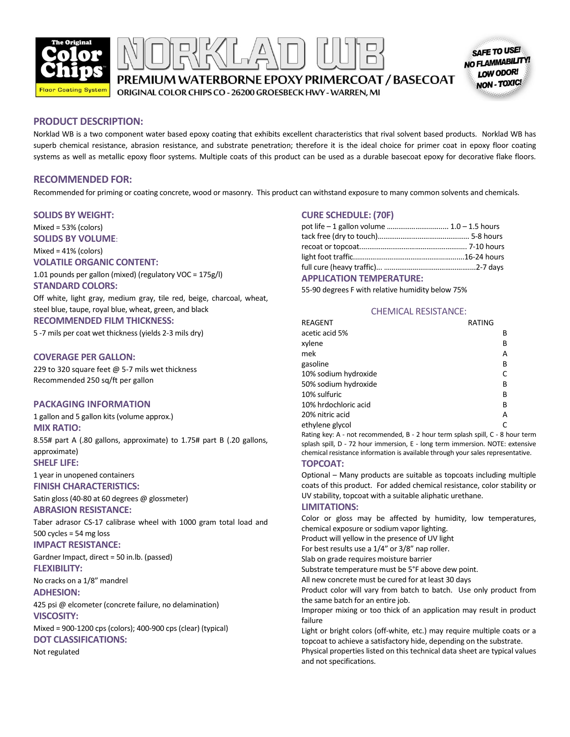

SAFE TO USE NO FLAMMABILITY! LOW ODOR! **NON - TOXIC!** 

PREMIUM WATERBORNE EPOXY PRIMERCOAT / BASECOAT

ORIGINAL COLOR CHIPS CO - 26200 GROESBECK HWY - WARREN, MI

#### **PRODUCT DESCRIPTION:**

Norklad WB is a two component water based epoxy coating that exhibits excellent characteristics that rival solvent based products. Norklad WB has superb chemical resistance, abrasion resistance, and substrate penetration; therefore it is the ideal choice for primer coat in epoxy floor coating systems as well as metallic epoxy floor systems. Multiple coats of this product can be used as a durable basecoat epoxy for decorative flake floors.

#### **RECOMMENDED FOR:**

Recommended for priming or coating concrete, wood or masonry. This product can withstand exposure to many common solvents and chemicals.

#### **SOLIDS BY WEIGHT:**

Mixed = 53% (colors)

**SOLIDS BY VOLUME**:

Mixed = 41% (colors)

### **VOLATILE ORGANIC CONTENT:**

1.01 pounds per gallon (mixed) (regulatory VOC = 175g/l) **STANDARD COLORS:**

Off white, light gray, medium gray, tile red, beige, charcoal, wheat, steel blue, taupe, royal blue, wheat, green, and black **RECOMMENDED FILM THICKNESS:**

5 -7 mils per coat wet thickness (yields 2-3 mils dry)

#### **COVERAGE PER GALLON:**

229 to 320 square feet @ 5-7 mils wet thickness Recommended 250 sq/ft per gallon

#### **PACKAGING INFORMATION**

1 gallon and 5 gallon kits (volume approx.) **MIX RATIO:**

8.55# part A (.80 gallons, approximate) to 1.75# part B (.20 gallons, approximate) **SHELF LIFE:**

1 year in unopened containers

**FINISH CHARACTERISTICS:**

Satin gloss (40-80 at 60 degrees @ glossmeter) **ABRASION RESISTANCE:**

Taber adrasor CS-17 calibrase wheel with 1000 gram total load and 500 cycles = 54 mg loss

#### **IMPACT RESISTANCE:**

Gardner Impact, direct = 50 in.lb. (passed) **FLEXIBILITY:**

No cracks on a 1/8" mandrel **ADHESION:**

425 psi @ elcometer (concrete failure, no delamination) **VISCOSITY:**

Mixed = 900-1200 cps (colors); 400-900 cps (clear) (typical) **DOT CLASSIFICATIONS:**

Not regulated

# **CURE SCHEDULE: (70F)**

| pot life – 1 gallon volume  1.0 – 1.5 hours |  |
|---------------------------------------------|--|
|                                             |  |
|                                             |  |
|                                             |  |
|                                             |  |

#### **APPLICATION TEMPERATURE:**

55-90 degrees F with relative humidity below 75%

#### CHEMICAL RESISTANCE:

| REAGENT              | RATING |  |
|----------------------|--------|--|
| acetic acid 5%       | В      |  |
| xylene               | В      |  |
| mek                  | А      |  |
| gasoline             | В      |  |
| 10% sodium hydroxide |        |  |
| 50% sodium hydroxide | B      |  |
| 10% sulfuric         | В      |  |
| 10% hrdochloric acid | В      |  |
| 20% nitric acid      | А      |  |
| ethylene glycol      |        |  |

Rating key: A - not recommended, B - 2 hour term splash spill, C - 8 hour term splash spill, D - 72 hour immersion, E - long term immersion. NOTE: extensive chemical resistance information is available through your sales representative.

#### **TOPCOAT:**

Optional – Many products are suitable as topcoats including multiple coats of this product. For added chemical resistance, color stability or UV stability, topcoat with a suitable aliphatic urethane.

#### **LIMITATIONS:**

Color or gloss may be affected by humidity, low temperatures, chemical exposure or sodium vapor lighting.

Product will yellow in the presence of UV light

For best results use a 1/4" or 3/8" nap roller.

Slab on grade requires moisture barrier

Substrate temperature must be 5°F above dew point.

All new concrete must be cured for at least 30 days

Product color will vary from batch to batch. Use only product from the same batch for an entire job.

Improper mixing or too thick of an application may result in product failure

Light or bright colors (off-white, etc.) may require multiple coats or a topcoat to achieve a satisfactory hide, depending on the substrate.

Physical properties listed on this technical data sheet are typical values and not specifications.